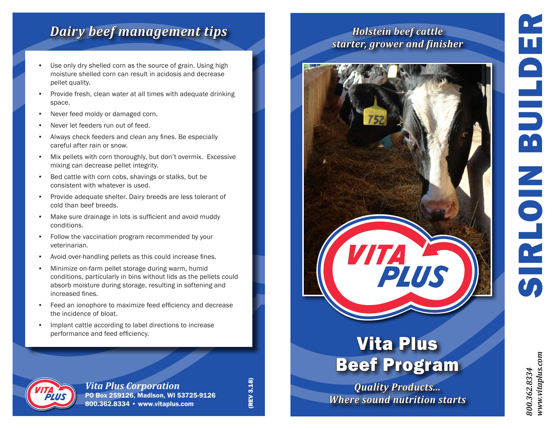# SIRLOIN BUILDER  $\blacksquare$ M  $\overline{\bullet}$

## *Dairy beef management tips*

- Use only dry shelled corn as the source of grain. Using high moisture shelled corn can result in acidosis and decrease pellet quality.
- Provide fresh, clean water at all times with adequate drinking space.
- Never feed moldy or damaged corn.
- Never let feeders run out of feed.
- Always check feeders and clean any fines. Be especially careful after rain or snow.
- Mix pellets with corn thoroughly, but don't overmix. Excessive mixing can decrease pellet integrity.
- Bed cattle with corn cobs, shavings or stalks, but be consistent with whatever is used.
- Provide adequate shelter. Dairy breeds are less tolerant of cold than beef breeds.
- Make sure drainage in lots is sufficient and avoid muddy conditions.
- Follow the vaccination program recommended by your veterinarian.
- Avoid over-handling pellets as this could increase fines.
- Minimize on-farm pellet storage during warm, humid conditions, particularly in bins without lids as the pellets could absorb moisture during storage, resulting in softening and increased fines.
- Feed an ionophore to maximize feed efficiency and decrease the incidence of bloat.
- Implant cattle according to label directions to increase performance and feed efficiency.



*Vita Plus Corporation* PO Box 259126, Madison, WI 53725-9126 800.362.8334 • www.vitaplus.com

(REV 3.18) (REV 3.18)

### *Holstein beef cattle starter, grower and finisher*



## Vita Plus Beef Program

*Quality Products... Where sound nutrition starts* *800.362.8334 www.vitaplus.com*